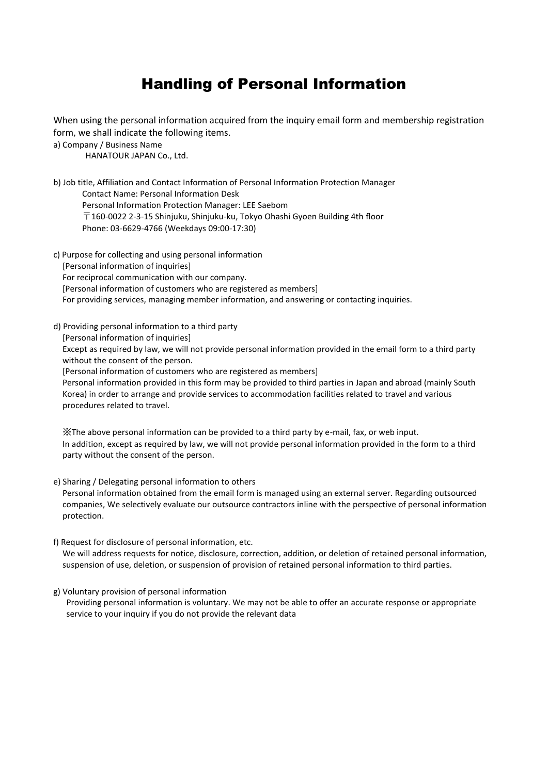## Handling of Personal Information

When using the personal information acquired from the inquiry email form and membership registration form, we shall indicate the following items.

a) Company / Business Name

HANATOUR JAPAN Co., Ltd.

b) Job title, Affiliation and Contact Information of Personal Information Protection Manager Contact Name: Personal Information Desk Personal Information Protection Manager: LEE Saebom  $\overline{T}$ 160-0022 2-3-15 Shinjuku, Shinjuku-ku, Tokyo Ohashi Gyoen Building 4th floor Phone: 03-6629-4766 (Weekdays 09:00-17:30)

- c) Purpose for collecting and using personal information [Personal information of inquiries] For reciprocal communication with our company. [Personal information of customers who are registered as members] For providing services, managing member information, and answering or contacting inquiries.
- d) Providing personal information to a third party

[Personal information of inquiries]

Except as required by law, we will not provide personal information provided in the email form to a third party without the consent of the person.

[Personal information of customers who are registered as members]

Personal information provided in this form may be provided to third parties in Japan and abroad (mainly South Korea) in order to arrange and provide services to accommodation facilities related to travel and various procedures related to travel.

※The above personal information can be provided to a third party by e-mail, fax, or web input. In addition, except as required by law, we will not provide personal information provided in the form to a third party without the consent of the person.

e) Sharing / Delegating personal information to others

Personal information obtained from the email form is managed using an external server. Regarding outsourced companies, We selectively evaluate our outsource contractors inline with the perspective of personal information protection.

f) Request for disclosure of personal information, etc.

We will address requests for notice, disclosure, correction, addition, or deletion of retained personal information, suspension of use, deletion, or suspension of provision of retained personal information to third parties.

g) Voluntary provision of personal information

Providing personal information is voluntary. We may not be able to offer an accurate response or appropriate service to your inquiry if you do not provide the relevant data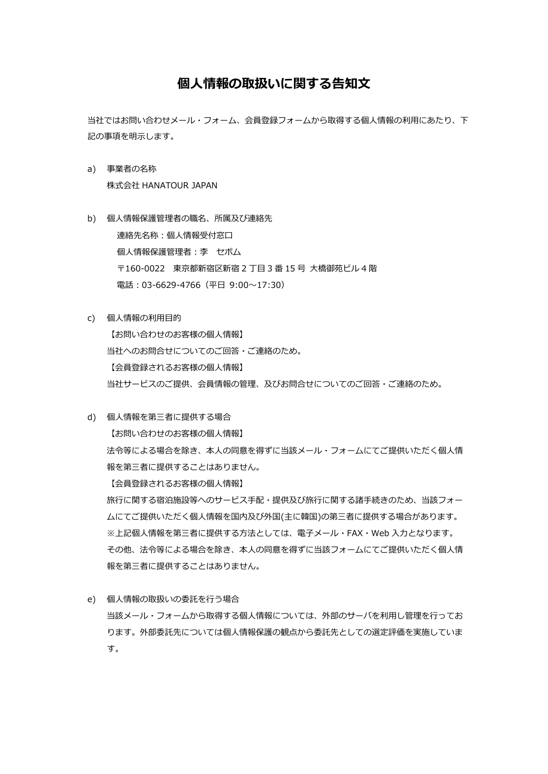## **個人情報の取扱いに関する告知文**

当社ではお問い合わせメール・フォーム、会員登録フォームから取得する個人情報の利用にあたり、下 記の事項を明示します。

- a) 事業者の名称 株式会社 HANATOUR JAPAN
- b) 個人情報保護管理者の職名、所属及び連絡先 連絡先名称:個人情報受付窓口 個人情報保護管理者:李 セボム 〒160-0022 東京都新宿区新宿 2 丁目 3 番 15 号 大橋御苑ビル 4 階 電話:03-6629-4766(平日 9:00~17:30)
- c) 個人情報の利用目的 【お問い合わせのお客様の個人情報】 当社へのお問合せについてのご回答・ご連絡のため。 【会員登録されるお客様の個人情報】 当社サービスのご提供、会員情報の管理、及びお問合せについてのご回答・ご連絡のため。
- d) 個人情報を第三者に提供する場合

【お問い合わせのお客様の個人情報】

法令等による場合を除き、本人の同意を得ずに当該メール・フォームにてご提供いただく個人情 報を第三者に提供することはありません。

【会員登録されるお客様の個人情報】

旅行に関する宿泊施設等へのサービス手配・提供及び旅行に関する諸手続きのため、当該フォー ムにてご提供いただく個人情報を国内及び外国(主に韓国)の第三者に提供する場合があります。 ※上記個人情報を第三者に提供する方法としては、電子メール・FAX・Web 入力となります。 その他、法令等による場合を除き、本人の同意を得ずに当該フォームにてご提供いただく個人情 報を第三者に提供することはありません。

e) 個人情報の取扱いの委託を行う場合 当該メール・フォームから取得する個人情報については、外部のサーバを利用し管理を行ってお ります。外部委託先については個人情報保護の観点から委託先としての選定評価を実施していま す。